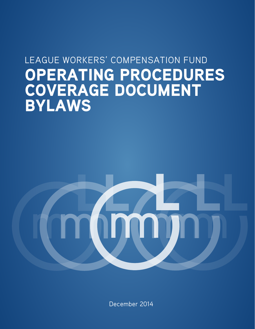# OPERATING PROCEDURES LEAGUE WORKERS' COMPENSATION FUND COVERAGE DOCUMENT BYLAWS



December 2014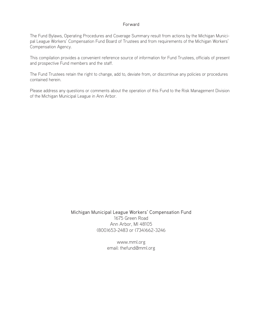#### Forward

The Fund Bylaws, Operating Procedures and Coverage Summary result from actions by the Michigan Municipal League Workers' Compensation Fund Board of Trustees and from requirements of the Michigan Workers' Compensation Agency.

This compilation provides a convenient reference source of information for Fund Trustees, officials of present and prospective Fund members and the staff.

The Fund Trustees retain the right to change, add to, deviate from, or discontinue any policies or procedures contained herein.

Please address any questions or comments about the operation of this Fund to the Risk Management Division of the Michigan Municipal League in Ann Arbor.

> Michigan Municipal League Workers' Compensation Fund 1675 Green Road Ann Arbor, MI 48105 (800)653-2483 or (734)662-3246

> > www.mml.org email: thefund@mml.org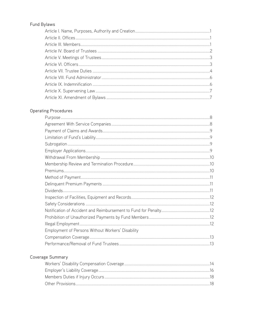# Fund Bylaws

# **Operating Procedures**

| Employment of Persons Without Workers' Disability |  |
|---------------------------------------------------|--|
|                                                   |  |
|                                                   |  |

# Coverage Summary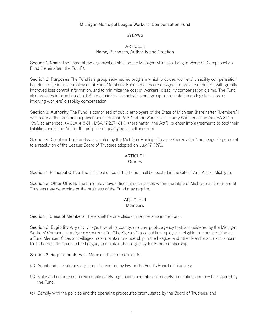#### Michigan Municipal League Workers' Compensation Fund

#### BYLAWS

#### **ARTICLE I** Name, Purposes, Authority and Creation

Section 1. Name The name of the organization shall be the Michigan Municipal League Workers' Compensation Fund (hereinafter "the Fund").

Section 2. Purposes The Fund is a group self-insured program which provides workers' disability compensation benefits to the injured employees of Fund Members. Fund services are designed to provide members with greatly improved loss control information, and to minimize the cost of workers' disability compensation claims. The Fund also provides information about State administrative activities and group representation on legislative issues involving workers' disability compensation.

Section 3. Authority The Fund is comprised of public employers of the State of Michigan (hereinafter "Members") which are authorized and approved under Section 611(2) of the Workers' Disability Compensation Act, PA 317 of 1969, as amended, (MCLA 418.611, MSA 17.237 (611)) (hereinafter "the Act"), to enter into agreements to pool their liabilities under the Act for the purpose of qualifying as self-insurers.

Section 4. Creation The Fund was created by the Michigan Municipal League (hereinafter "the League") pursuant to a resolution of the League Board of Trustees adopted on July 17, 1976.

#### ARTICLE II **Offices**

Section 1. Principal Office The principal office of the Fund shall be located in the City of Ann Arbor, Michigan.

Section 2. Other Offices The Fund may have offices at such places within the State of Michigan as the Board of Trustees may determine or the business of the Fund may require.

#### ARTICLE III Members

Section 1. Class of Members There shall be one class of membership in the Fund.

Section 2. Eligibility Any city, village, township, county, or other public agency that is considered by the Michigan Workers' Compensation Agency (herein after "the Agency") as a public employer is eligible for consideration as a Fund Member. Cities and villages must maintain membership in the League, and other Members must maintain limited associate status in the League, to maintain their eligibility for Fund membership.

Section 3. Requirements Each Member shall be required to:

- (a) Adopt and execute any agreements required by law or the Fund's Board of Trustees;
- (b) Make and enforce such reasonable safety regulations and take such safety precautions as may be required by the Fund;
- (c) Comply with the policies and the operating procedures promulgated by the Board of Trustees; and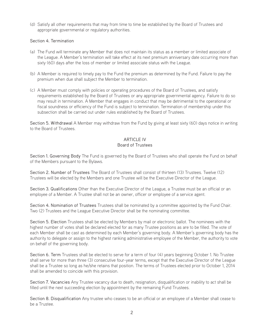(d) Satisfy all other requirements that may from time to time be established by the Board of Trustees and appropriate governmental or regulatory authorities.

### Section 4. Termination

- (a) The Fund will terminate any Member that does not maintain its status as a member or limited associate of the League. A Member's termination will take effect at its next premium anniversary date occurring more than sixty (60) days after the loss of member or limited associate status with the League.
- (b) A Member is required to timely pay to the Fund the premium as determined by the Fund. Failure to pay the premium when due shall subject the Member to termination.
- (c) A Member must comply with policies or operating procedures of the Board of Trustees, and satisfy requirements established by the Board of Trustees or any appropriate governmental agency. Failure to do so may result in termination. A Member that engages in conduct that may be detrimental to the operational or fiscal soundness or efficiency of the Fund is subject to termination. Termination of membership under this subsection shall be carried out under rules established by the Board of Trustees.

Section 5. Withdrawal A Member may withdraw from the Fund by giving at least sixty (60) days notice in writing to the Board of Trustees.

# **ARTICLE IV** Board of Trustees

Section 1. Governing Body The Fund is governed by the Board of Trustees who shall operate the Fund on behalf of the Members pursuant to the Bylaws.

Section 2. Number of Trustees The Board of Trustees shall consist of thirteen (13) Trustees. Twelve (12) Trustees will be elected by the Members and one Trustee will be the Executive Director of the League.

Section 3. Qualifications Other than the Executive Director of the League, a Trustee must be an official or an employee of a Member. A Trustee shall not be an owner, officer or employee of a service agent.

Section 4. Nomination of Trustees Trustees shall be nominated by a committee appointed by the Fund Chair. Two (2) Trustees and the League Executive Director shall be the nominating committee.

Section 5. Election Trustees shall be elected by Members by mail or electronic ballot. The nominees with the highest number of votes shall be declared elected for as many Trustee positions as are to be filled. The vote of each Member shall be cast as determined by each Member's governing body. A Member's governing body has the authority to delegate or assign to the highest ranking administrative employee of the Member, the authority to vote on behalf of the governing body.

Section 6. Term Trustees shall be elected to serve for a term of four (4) years beginning October 1. No Trustee shall serve for more than three (3) consecutive four-year terms, except that the Executive Director of the League shall be a Trustee so long as he/she retains that position. The terms of Trustees elected prior to October 1, 2014 shall be amended to coincide with this provision.

Section 7. Vacancies Any Trustee vacancy due to death, resignation, disqualification or inability to act shall be filled until the next succeeding election by appointment by the remaining Fund Trustees.

Section 8. Disqualification Any trustee who ceases to be an official or an employee of a Member shall cease to be a Trustee.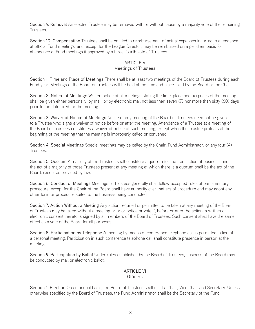Section 9. Removal An elected Trustee may be removed with or without cause by a majority vote of the remaining Trustees.

Section 10. Compensation Trustees shall be entitled to reimbursement of actual expenses incurred in attendance at official Fund meetings, and, except for the League Director, may be reimbursed on a per diem basis for attendance at Fund meetings if approved by a three-fourth vote of Trustees.

#### **ARTICLE V** Meetings of Trustees

Section 1. Time and Place of Meetings There shall be at least two meetings of the Board of Trustees during each Fund year. Meetings of the Board of Trustees will be held at the time and place fixed by the Board or the Chair.

Section 2. Notice of Meetings Written notice of all meetings stating the time, place and purposes of the meeting shall be given either personally, by mail, or by electronic mail not less then seven (7) nor more than sixty (60) days prior to the date fixed for the meeting.

Section 3. Waiver of Notice of Meetings Notice of any meeting of the Board of Trustees need not be given to a Trustee who signs a waiver of notice before or after the meeting. Attendance of a Trustee at a meeting of the Board of Trustees constitutes a waiver of notice of such meeting, except when the Trustee protests at the beginning of the meeting that the meeting is improperly called or convened.

Section 4. Special Meetings Special meetings may be called by the Chair, Fund Administrator, or any four (4) Trustees.

Section 5. Quorum A majority of the Trustees shall constitute a quorum for the transaction of business, and the act of a majority of those Trustees present at any meeting at which there is a quorum shall be the act of the Board, except as provided by law.

Section 6. Conduct of Meetings Meetings of Trustees generally shall follow accepted rules of parliamentary procedure, except for the Chair of the Board shall have authority over matters of procedure and may adopt any other form or procedure suited to the business being conducted.

Section 7. Action Without a Meeting Any action required or permitted to be taken at any meeting of the Board of Trustees may be taken without a meeting or prior notice or vote if, before or after the action, a written or electronic consent thereto is signed by all members of the Board of Trustees. Such consent shall have the same effect as a vote of the Board for all purposes.

Section 8. Participation by Telephone A meeting by means of conference telephone call is permitted in lieu of a personal meeting. Participation in such conference telephone call shall constitute presence in person at the meeting.

Section 9. Participation by Ballot Under rules established by the Board of Trustees, business of the Board may be conducted by mail or electronic ballot.

#### **ARTICLE VI Officers**

Section 1. Election On an annual basis, the Board of Trustees shall elect a Chair, Vice Chair and Secretary. Unless otherwise specified by the Board of Trustees, the Fund Administrator shall be the Secretary of the Fund.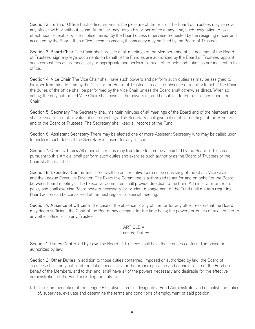Section 2. Term of Office Each officer serves at the pleasure of the Board. The Board of Trustees may remove any officer with or without cause. An officer may resign his or her office at any time, such resignation to take effect upon receipt of written notice thereof by the Board unless otherwise requested by the resigning officer and accepted by the Board. If an office becomes vacant, the vacancy may be filled by the Board of Trustees.

Section 3. Board Chair The Chair shall preside at all meetings of the Members and at all meetings of the Board of Trustees, sign any legal documents on behalf of the Fund as are authorized by the Board of Trustees, appoint such committees as are necessary or appropriate and perform all such other acts and duties as are incident to this office.

Section 4. Vice Chair The Vice Chair shall have such powers and perform such duties as may be assigned to him/her from time to time by the Chair or the Board of Trustees. In case of absence or inability to act of the Chair, the duties of the office shall be performed by the Vice Chair unless the Board shall otherwise direct. When so acting, the duly authorized Vice Chair shall have all the powers of, and be subject to the restrictions upon, the Chair.

Section 5. Secretary The Secretary shall maintain minutes of all meetings of the Board and of the Members and shall keep a record of all votes at such meetings. The Secretary shall give notice of all meetings of the Members and of the Board of Trustees. The Secretary shall keep all records of the Fund.

Section 6. Assistant Secretary There may be elected one or more Assistant Secretary who may be called upon to perform such duties if the Secretary is absent for any reason.

Section 7. Other Officers All other officers, as may from time to time be appointed by the Board of Trustees pursuant to this Article, shall perform such duties and exercise such authority as the Board of Trustees or the Chair shall prescribe.

Section 8. Executive Committee There shall be an Executive Committee consisting of the Chair, Vice Chair and the League Executive Director. The Executive Committee is authorized to act for and on behalf of the Board between Board meetings. The Executive Committee shall provide direction to the Fund Administrator on Board policy and shall exercise Board powers necessary for prudent management of the Fund until matters requiring Board action can be considered at the next regular or special meeting.

Section 9. Absence of Officer In the case of the absence of any officer, or for any other reason that the Board may deem sufficient, the Chair of the Board may delegate for the time being the powers or duties of such officer to any other officer or to any Trustee.

# ARTICLE VII

# Trustee Duties

Section 1. Duties Conferred by Law The Board of Trustees shall have those duties conferred, imposed or authorized by law.

Section 2. Other Duties In addition to those duties conferred, imposed or authorized by law, the Board of Trustees shall carry out all of the duties necessary for the proper operation and administration of the Fund on behalf of the Members, and to that end, shall have all of the powers necessary and desirable for the effective administration of the Fund, including the duty to:

(a) On recommendation of the League Executive Director, designate a Fund Administrator and establish the duties of, supervise, evaluate and determine the terms and conditions of employment of said position;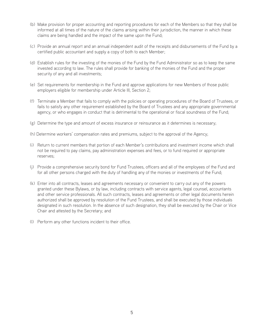- (b) Make provision for proper accounting and reporting procedures for each of the Members so that they shall be informed at all times of the nature of the claims arising within their jurisdiction, the manner in which these claims are being handled and the impact of the same upon the Fund;
- (c) Provide an annual report and an annual independent audit of the receipts and disbursements of the Fund by a certified public accountant and supply a copy of both to each Member;
- (d) Establish rules for the investing of the monies of the Fund by the Fund Administrator so as to keep the same invested according to law. The rules shall provide for banking of the monies of the Fund and the proper security of any and all investments;
- (e) Set requirements for membership in the Fund and approve applications for new Members of those public employers eligible for membership under Article III, Section 2;
- (f) Terminate a Member that fails to comply with the policies or operating procedures of the Board of Trustees, or fails to satisfy any other requirement established by the Board of Trustees and any appropriate governmental agency, or who engages in conduct that is detrimental to the operational or fiscal soundness of the Fund;
- (g) Determine the type and amount of excess insurance or reinsurance as it determines is necessary;
- (h) Determine workers' compensation rates and premiums, subject to the approval of the Agency;
- (i) Return to current members that portion of each Member's contributions and investment income which shall not be required to pay claims, pay administration expenses and fees, or to fund required or appropriate reserves;
- (j) Provide a comprehensive security bond for Fund Trustees, officers and all of the employees of the Fund and for all other persons charged with the duty of handling any of the monies or investments of the Fund;
- (k) Enter into all contracts, leases and agreements necessary or convenient to carry out any of the powers granted under these Bylaws, or by law, including contracts with service agents, legal counsel, accountants and other service professionals. All such contracts, leases and agreements or other legal documents herein authorized shall be approved by resolution of the Fund Trustees, and shall be executed by those individuals designated in such resolution. In the absence of such designation, they shall be executed by the Chair or Vice Chair and attested by the Secretary; and
- (l) Perform any other functions incident to their office.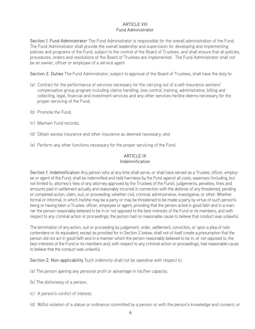# **ARTICLE VIII** Fund Administrator

Section 1. Fund Administrator The Fund Administrator is responsible for the overall administration of the Fund. The Fund Administrator shall provide the overall leadership and supervision for developing and implementing policies and programs of the Fund, subject to the control of the Board of Trustees, and shall ensure that all policies, procedures, orders and resolutions of the Board of Trustees are implemented. The Fund Administrator shall not be an owner, officer or employee of a service agent.

Section 2. Duties The Fund Administrator, subject to approval of the Board of Trustees, shall have the duty to:

- (a) Contract for the performance of services necessary for the carrying out of a self-insurance workers' compensation group program including claims handling, loss control, training, administrative, billing and collecting, legal, financial and investment services and any other services he/she deems necessary for the proper servicing of the Fund;
- (b) Promote the Fund;
- (c) Maintain Fund records;
- (d) Obtain excess insurance and other insurance as deemed necessary; and
- (e) Perform any other functions necessary for the proper servicing of the Fund.

#### **ARTICLE IX** Indemnification

Section 1. Indemnification Any person who at any time shall serve, or shall have served as a Trustee, officer, employee or agent of the Fund, shall be indemnified and held harmless by the Fund against all costs, expenses (including, but not limited to, attorney's fees of any attorney approved by the Trustees of the Fund), judgements, penalties, fines and amounts paid in settlement actually and reasonably incurred in connection with the defense of any threatened, pending or completed action, claim, suit, or proceeding, whether civil, criminal, administrative, investigative, or other. Whether formal or informal, in which he/she may be a party or may be threatened to be made a party by virtue of such person's being or having been a Trustee, officer, employee or agent; providing that the person acted in good faith and in a manner the person reasonably believed to be in or not opposed to the best interests of the Fund or its members, and with respect to any criminal action or proceedings, the person had no reasonable cause to believe that conduct was unlawful.

The termination of any action, suit or proceeding by judgement, order, settlement, conviction, or upon a plea of nolo contendere or its equivalent, except as provided for in Section 2 below, shall not of itself create a presumption that the person did not act in good faith and in a manner which the person reasonably believed to be in, or not opposed to, the best interests of the Fund or its members and, with respect to any criminal action or proceedings, had reasonable cause to believe that the conduct was unlawful.

Section 2. Non-applicability Such indemnity shall not be operative with respect to:

- (a) The person gaining any personal profit or advantage in his/her capacity;
- (b) The dishonesty of a person;
- (c) A person's conflict of interest;
- (d) Willful violation of a statue or ordinance committed by a person or with the person's knowledge and consent; or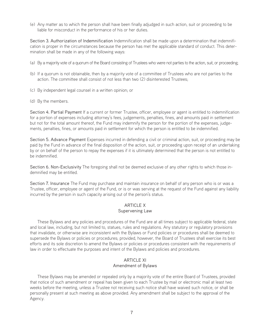(e) Any matter as to which the person shall have been finally adjudged in such action, suit or proceeding to be liable for misconduct in the performance of his or her duties.

Section 3. Authorization of Indemnification Indemnification shall be made upon a determination that indemnification is proper in the circumstances because the person has met the applicable standard of conduct. This determination shall be made in any of the following ways:

- (a) By a majority vote of a quorum of the Board consisting of Trustees who were not parties to the action, suit, or proceeding;
- (b) If a quorum is not obtainable, then by a majority vote of a committee of Trustees who are not parties to the action. The committee shall consist of not less than two (2) disinterested Trustees;
- (c) By independent legal counsel in a written opinion; or
- (d) By the members.

Section 4. Partial Payment If a current or former Trustee, officer, employee or agent is entitled to indemnification for a portion of expenses including attorney's fees, judgements, penalties, fines, and amounts paid in settlement but not for the total amount thereof, the Fund may indemnify the person for the portion of the expenses, judgements, penalties, fines, or amounts paid in settlement for which the person is entitled to be indemnified.

Section 5. Advance Payment Expenses incurred in defending a civil or criminal action, suit, or proceeding may be paid by the Fund in advance of the final disposition of the action, suit, or proceeding upon receipt of an undertaking by or on behalf of the person to repay the expenses if it is ultimately determined that the person is not entitled to be indemnified.

Section 6. Non-Exclusivity The foregoing shall not be deemed exclusive of any other rights to which those indemnified may be entitled.

Section 7. Insurance The Fund may purchase and maintain insurance on behalf of any person who is or was a Trustee, officer, employee or agent of the Fund, or is or was serving at the request of the Fund against any liability incurred by the person in such capacity arising out of the person's status.

### **ARTICLE X** Supervening Law

These Bylaws and any policies and procedures of the Fund are at all times subject to applicable federal, state and local law, including, but not limited to, statues, rules and regulations. Any statutory or regulatory provisions that invalidate, or otherwise are inconsistent with the Bylaws or Fund policies or procedures shall be deemed to supersede the Bylaws or policies or procedures; provided, however, the Board of Trustees shall exercise its best efforts and its sole discretion to amend the Bylaws or policies or procedures consistent with the requirements of law in order to effectuate the purposes and intent of the Bylaws and policies and procedures.

### ARTICLE XI Amendment of Bylaws

These Bylaws may be amended or repealed only by a majority vote of the entire Board of Trustees, provided that notice of such amendment or repeal has been given to each Trustee by mail or electronic mail at least two weeks before the meeting, unless a Trustee not receiving such notice shall have waived such notice, or shall be personally present at such meeting as above provided. Any amendment shall be subject to the approval of the Agency.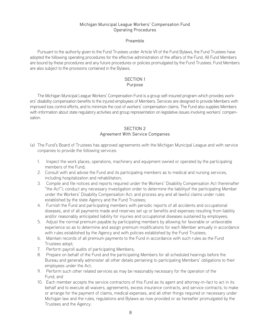## Michigan Municipal League Workers' Compensation Fund Operating Procedures

#### Preamble

Pursuant to the authority given to the Fund Trustees under Article VII of the Fund Bylaws, the Fund Trustees have adopted the following operating procedures for the effective administration of the affairs of the Fund. All Fund Members are bound by these procedures and any future procedures or policies promulgated by the Fund Trustees. Fund Members are also subject to the provisions contained in the Bylaws.

# SECTION 1

### Purpose

The Michigan Municipal League Workers' Compensation Fund is a group self-insured program which provides workers' disability compensation benefits to the injured employees of Members. Services are designed to provide Members with improved loss control efforts, and to minimize the cost of workers' compensation claims. The Fund also supplies Members with information about state regulatory activities and group representation on legislative issues involving workers' compensation.

## SECTION 2 Agreement With Service Companies

- (a) The Fund's Board of Trustees has approved agreements with the Michigan Municipal League and with service conpanies to provide the following services:
	- 1. Inspect the work places, operations, machinery and equipment owned or operated by the participating members of the Fund;
	- 2. Consult with and advise the Fund and its participating members as to medical and nursing services, including hospitalization and rehabilitation;
	- 3. Compile and file notices and reports required under the Workers' Disability Compensation Act (hereinafter "the Act"); conduct any necessary investigation order to determine the liabilityof the participating Member under the Workers' Disability Compensation Act; and process any and all lawful claims under rules established by the state Agency and the Fund Trustees;
	- 4. Furnish the Fund and participating members with periodic reports of all accidents and occupational diseases, and of all payments made and reserves set up or benefits and expenses resulting from liability and/or reasonably anticipated liability for injuries and occupational diseases sustained by employees;
	- 5. Adjust the normal premium payable by participating members by allowing for favorable or unfavorable experience so as to determine and assign premium modifications for each Member annually in accordance with rules established by the Agency and with policies established by the Fund Trustees;
	- 6. Maintain records of all premium payments to the Fund in accordance with such rules as the Fund Trustees adopt;
	- 7. Perform payroll audits of participating Members;
	- 8. Prepare on behalf of the Fund and the participating Members for all scheduled hearings before the Bureau and generally administer all other details pertaining to participating Members' obligations to their employees under the Act;
	- 9. Perform such other related services as may be reasonably necessary for the operation of the Fund; and
	- 10. Each member accepts the service contractors of this Fund as its agent and attorney-in-fact to act in its behalf and to execute all waivers, agreements, excess insurance contracts, and service contracts; to make or arrange for the payment of claims, medical expenses, and all other things required or necessary under Michigan law and the rules, regulations and Bylaws as now provided or as hereafter promulgated by the Trustees and the Agency.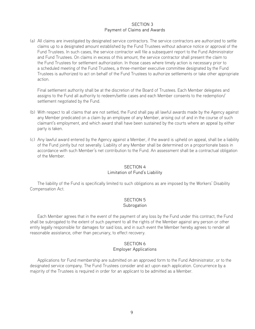#### SECTION 3 Payment of Claims and Awards

(a) All claims are investigated by designated service contractors. The service contractors are authorized to settle claims up to a designated amount established by the Fund Trustees without advance notice or approval of the Fund Trustees. In such cases, the service contractor will file a subsequent report to the Fund Administrator and Fund Trustees. On claims in excess of this amount, the service contractor shall present the claim to the Fund Trustees for settlement authorization. In those cases where timely action is necessary prior to a scheduled meeting of the Fund Trustees, a three-member executive committee designated by the Fund Trustees is authorized to act on behalf of the Fund Trustees to authorize settlements or take other appropriate action.

Final settlement authority shall be at the discretion of the Board of Trustees. Each Member delegates and assigns to the Fund all authority to redeem/settle cases and each Member consents to the redemption/ settlement negotiated by the Fund.

- (b) With respect to all claims that are not settled, the Fund shall pay all lawful awards made by the Agency against any Member predicated on a claim by an employee of any Member, arising out of and in the course of such claimant's employment, and which award shall have been sustained by the courts where an appeal by either party is taken.
- (c) Any lawful award entered by the Agency against a Member, if the award is upheld on appeal, shall be a liability of the Fund jointly but not severally. Liability of any Member shall be determined on a proportionate basis in accordance with such Member's net contribution to the Fund. An assessment shall be a contractual obligation of the Member.

## SECTION 4 Limitation of Fund's Liability

The liability of the Fund is specifically limited to such obligations as are imposed by the Workers' Disability Compensation Act.

#### SECTION 5 Subrogation

Each Member agrees that in the event of the payment of any loss by the Fund under this contract, the Fund shall be subrogated to the extent of such payment to all the rights of the Member against any person or other entity legally responsible for damages for said loss, and in such event the Member hereby agrees to render all reasonable assistance, other than pecuniary, to effect recovery.

#### SECTION 6 Employer Applications

Applications for Fund membership are submitted on an approved form to the Fund Administrator, or to the designated service company. The Fund Trustees consider and act upon each application. Concurrence by a majority of the Trustees is required in order for an applicant to be admitted as a Member.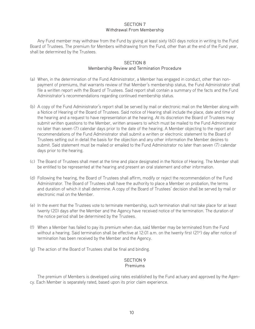### SECTION 7 Withdrawal From Membership

Any Fund member may withdraw from the Fund by giving at least sixty (60) days notice in writing to the Fund Board of Trustees. The premium for Members withdrawing from the Fund, other than at the end of the Fund year, shall be determined by the Trustees.

#### SECTION 8 Membership Review and Termination Procedure

- (a) When, in the determination of the Fund Administrator, a Member has engaged in conduct, other than nonpayment of premiums, that warrants review of that Member's membership status, the Fund Administrator shall file a written report with the Board of Trustees. Said report shall contain a summary of the facts and the Fund Administrator's recommendations regarding continued membership status.
- (b) A copy of the Fund Administrator's report shall be served by mail or electronic mail on the Member along with a Notice of Hearing of the Board of Trustees. Said notice of Hearing shall include the place, date and time of the hearing and a request to have representation at the hearing. At its discretion the Board of Trustees may submit written questions to the Member, written answers to which must be mailed to the Fund Administrator no later than seven (7) calendar days prior to the date of the hearing. A Member objecting to the report and recommendations of the Fund Administrator shall submit a written or electronic statement to the Board of Trustees setting out in detail the basis for the objection and any other information the Member desires to submit. Said statement must be mailed or emailed to the Fund Administrator no later than seven (7) calendar days prior to the hearing.
- (c) The Board of Trustees shall meet at the time and place designated in the Notice of Hearing. The Member shall be entitled to be represented at the hearing and present an oral statement and other information.
- (d) Following the hearing, the Board of Trustees shall affirm, modify or reject the recommendation of the Fund Administrator. The Board of Trustees shall have the authority to place a Member on probation, the terms and duration of which it shall determine. A copy of the Board of Trustees' decision shall be served by mail or electronic mail on the Member.
- (e) In the event that the Trustees vote to terminate membership, such termination shall not take place for at least twenty (20) days after the Member and the Agency have received notice of the termination. The duration of the notice period shall be determined by the Trustees.
- (f) When a Member has failed to pay its premium when due, said Member may be terminated from the Fund without a hearing. Said termination shall be effective at 12:01 a.m. on the twenty first (21<sup>st</sup>) day after notice of termination has been received by the Member and the Agency.
- (g) The action of the Board of Trustees shall be final and binding.

#### SECTION 9 Premiums

The premium of Members is developed using rates established by the Fund actuary and approved by the Agency. Each Member is separately rated, based upon its prior claim experience.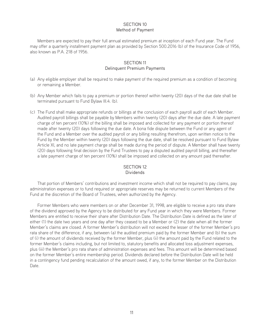### SECTION 10 Method of Payment

Members are expected to pay their full annual estimated premium at inception of each Fund year. The Fund may offer a quarterly installment payment plan as provided by Section 500.2016 (b) of the Insurance Code of 1956, also known as P.A. 218 of 1956.

#### SECTION 11 Delinquent Premium Payments

- (a) Any eligible employer shall be required to make payment of the required premium as a condition of becoming or remaining a Member.
- (b) Any Member which fails to pay a premium or portion thereof within twenty (20) days of the due date shall be terminated pursuant to Fund Bylaw III.4. (b).
- (c) The Fund shall make appropriate refunds or billings at the conclusion of each payroll audit of each Member. Audited payroll billings shall be payable by Members within twenty (20) days after the due date. A late payment charge of ten percent (10%) of the billing shall be imposed and collected for any payment or portion thereof made after twenty (20) days following the due date. A bona fide dispute between the Fund or any agent of the Fund and a Member over the audited payroll or any billing resulting therefrom, upon written notice to the Fund by the Member within twenty (20) days following the due date, shall be resolved pursuant to Fund Bylaw Article XI, and no late payment charge shall be made during the period of dispute. A Member shall have twenty (20) days following final decision by the Fund Trustees to pay a disputed audited payroll billing, and thereafter a late payment charge of ten percent (10%) shall be imposed and collected on any amount paid thereafter.

# SECTION 12

#### Dividends

That portion of Members' contributions and investment income which shall not be required to pay claims, pay administration expenses or to fund required or appropriate reserves may be returned to current Members of the Fund at the discretion of the Board of Trustees, when authorized by the Agency.

Former Members who were members on or after December 31, 1998, are eligible to receive a pro rata share of the dividend approved by the Agency to be distributed for any Fund year in which they were Members. Former Members are entitled to receive their share after Distribution Date. The Distribution Date is defined as the later of either (1) the date two years and one day after they ceased to be a Member or (2) the date when all the former Member's claims are closed. A former Member's distribution will not exceed the lesser of the former Member's pro rata share of the difference, if any, between (a) the audited premium paid by the former Member and (b) the sum of (i) the amount of dividends received by the former Member, plus (ii) the amount paid by the Fund related to the former Member's claims including, but not limited to, statutory benefits and allocated loss adjustment expenses, plus (iii) the Member's pro rata share of administration expenses and fees. This amount will be determined based on the former Member's entire membership period. Dividends declared before the Distribution Date will be held in a contingency fund pending recalculation of the amount owed, if any, to the former Member on the Distribution Date.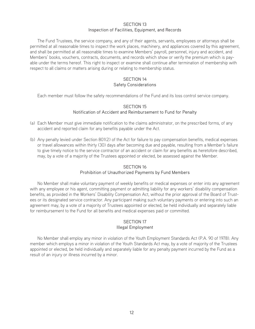#### SECTION 13 Inspection of Facilities, Equipment, and Records

The Fund Trustees, the service company, and any of their agents, servants, employees or attorneys shall be permitted at all reasonable times to inspect the work places, machinery, and appliances covered by this agreement, and shall be permitted at all reasonable times to examine Members' payroll, personnel, injury and accident, and Members' books, vouchers, contracts, documents, and records which show or verify the premium which is payable under the terms hereof. This right to inspect or examine shall continue after termination of membership with respect to all claims or matters arising during or relating to membership status.

# SECTION 14 Safety Considerations

Each member must follow the safety recommendations of the Fund and its loss control service company.

#### SECTION 15

#### Notification of Accident and Reimbursement to Fund for Penalty

- (a) Each Member must give immediate notification to the claims administrator, on the prescribed forms, of any accident and reported claim for any benefits payable under the Act.
- (b) Any penalty levied under Section 801(2) of the Act for failure to pay compensation benefits, medical expenses or travel allowances within thirty (30) days after becoming due and payable, resulting from a Member's failure to give timely notice to the service contractor of an accident or claim for any benefits as heretofore described, may, by a vote of a majority of the Trustees appointed or elected, be assessed against the Member.

#### SECTION 16

#### Prohibition of Unauthorized Payments by Fund Members

No Member shall make voluntary payment of weekly benefits or medical expenses or enter into any agreement with any employee or his agent, committing payment or admitting liability for any workers' disability compensation benefits, as provided in the Workers' Disability Compensation Act, without the prior approval of the Board of Trustees or its designated service contractor. Any participant making such voluntary payments or entering into such an agreement may, by a vote of a majority of Trustees appointed or elected, be held individually and separately liable for reimbursement to the Fund for all benefits and medical expenses paid or committed.

# SECTION 17

# Illegal Employment

No Member shall employ any minor in violation of the Youth Employment Standards Act (P.A. 90 of 1978). Any member which employs a minor in violation of the Youth Standards Act may, by a vote of majority of the Trustees appointed or elected, be held individually and separately liable for any penalty payment incurred by the Fund as a result of an injury or illness incurred by a minor.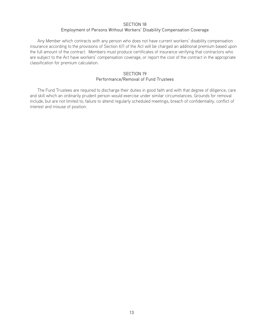#### SECTION 18

#### Employment of Persons Without Workers' Disability Compensation Coverage

Any Member which contracts with any person who does not have current workers' disability compensation insurance according to the provisions of Section 611 of the Act will be charged an additional premium based upon the full amount of the contract. Members must produce certificates of insurance verifying that contractors who are subject to the Act have workers' compensation coverage, or report the cost of the contract in the appropriate classification for premium calculation.

#### SECTION 19 Performance/Removal of Fund Trustees

The Fund Trustees are required to discharge their duties in good faith and with that degree of diligence, care and skill which an ordinarily prudent person would exercise under similar circumstances. Grounds for removal include, but are not limited to; failure to attend regularly scheduled meetings, breach of confidentiality, conflict of interest and misuse of position.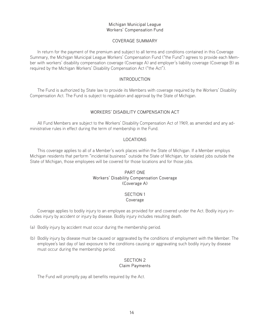#### Michigan Municipal League Workers' Compensation Fund

#### COVERAGE SUMMARY

In return for the payment of the premium and subject to all terms and conditions contained in this Coverage Summary, the Michigan Municipal League Workers' Compensation Fund ("the Fund") agrees to provide each Member with workers' disability compensation coverage (Coverage A) and employer's liability coverage (Coverage B) as required by the Michigan Workers' Disability Compensation Act ("the Act").

### INTRODUCTION

The Fund is authorized by State law to provide its Members with coverage required by the Workers' Disability Compensation Act. The Fund is subject to regulation and approval by the State of Michigan.

# WORKERS' DISABILITY COMPENSATION ACT

All Fund Members are subject to the Workers' Disability Compensation Act of 1969, as amended and any administrative rules in effect during the term of membership in the Fund.

### LOCATIONS

This coverage applies to all of a Member's work places within the State of Michigan. If a Member employs Michigan residents that perform "incidental business" outside the State of Michigan, for isolated jobs outside the State of Michigan, those employees will be covered for those locations and for those jobs.

#### PART ONE Workers' Disability Compensation Coverage (Coverage A)

#### SECTION 1 Coverage

Coverage applies to bodily injury to an employee as provided for and covered under the Act. Bodily injury includes injury by accident or injury by disease. Bodily injury includes resulting death.

- (a) Bodily injury by accident must occur during the membership period.
- (b) Bodily injury by disease must be caused or aggravated by the conditions of employment with the Member. The employee's last day of last exposure to the conditions causing or aggravating such bodily injury by disease must occur during the membership period.

#### SECTION 2 Claim Payments

The Fund will promptly pay all benefits required by the Act.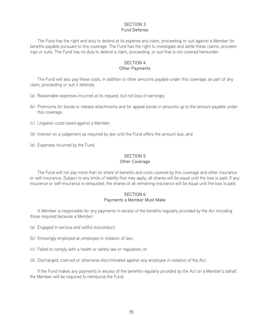#### SECTION 3 Fund Defense

The Fund has the right and duty to defend at its expense any claim, proceeding or suit against a Member for benefits payable pursuant to this coverage. The Fund has the right to investigate and settle these claims, proceedings or suits. The Fund has no duty to defend a claim, proceeding, or suit that is not covered hereunder.

#### SECTION 4 Other Payments

The Fund will also pay these costs, in addition to other amounts payable under this coverage, as part of any claim, proceeding or suit it defends:

- (a) Reasonable expenses incurred at its request, but not loss of earnings;
- (b) Premiums for bonds to release attachments and for appeal bonds in amounts up to the amount payable under this coverage;
- (c) Litigation costs taxed against a Member;
- (d) Interest on a judgement as required by law until the Fund offers the amount due; and
- (e) Expenses incurred by the Fund.

# SECTION 5

#### Other Coverage

The Fund will not pay more than its share of benefits and costs covered by this coverage and other insurance or self-insurance. Subject to any limits of liability that may apply, all shares will be equal until the loss is paid. If any insurance or self-insurance is exhausted, the shares of all remaining insurance will be equal until the loss is paid.

#### SECTION 6 Payments a Member Must Make

A Member is responsible for any payments in excess of the benefits regularly provided by the Act including those required because a Member:

- (a) Engaged in serious and willful misconduct;
- (b) Knowingly employed an employee in violation of law;
- (c) Failed to comply with a health or safety law or regulation; or
- (d) Discharged, coerced or otherwise discriminated against any employee in violation of the Act.

If the Fund makes any payments in excess of the benefits regularly provided by the Act on a Member's behalf, the Member will be required to reimburse the Fund.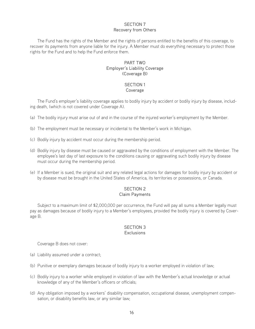# SECTION 7 Recovery from Others

The Fund has the rights of the Member and the rights of persons entitled to the benefits of this coverage, to recover its payments from anyone liable for the injury. A Member must do everything necessary to protect those rights for the Fund and to help the Fund enforce them.

#### PART TWO Employer's Liability Coverage (Coverage B)

# SECTION 1

Coverage

The Fund's employer's liability coverage applies to bodily injury by accident or bodily injury by disease, including death, (which is not covered under Coverage A).

- (a) The bodily injury must arise out of and in the course of the injured worker's employment by the Member.
- (b) The employment must be necessary or incidental to the Member's work in Michigan.
- (c) Bodily injury by accident must occur during the membership period.
- (d) Bodily injury by disease must be caused or aggravated by the conditions of employment with the Member. The employee's last day of last exposure to the conditions causing or aggravating such bodily injury by disease must occur during the membership period.
- (e) If a Member is sued, the original suit and any related legal actions for damages for bodily injury by accident or by disease must be brought in the United States of America, its territories or possessions, or Canada.

# SECTION 2

#### Claim Payments

Subject to a maximum limit of \$2,000,000 per occurrence, the Fund will pay all sums a Member legally must pay as damages because of bodily injury to a Member's employees, provided the bodily injury is covered by Coverage B.

#### SECTION 3 **Exclusions**

Coverage B does not cover:

- (a) Liability assumed under a contract;
- (b) Punitive or exemplary damages because of bodily injury to a worker employed in violation of law;
- (c) Bodily injury to a worker while employed in violation of law with the Member's actual knowledge or actual knowledge of any of the Member's officers or officials;
- (d) Any obligation imposed by a workers' disability compensation, occupational disease, unemployment compensation, or disability benefits law, or any similar law;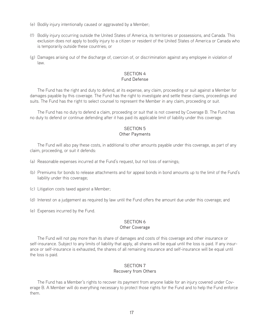- (e) Bodily injury intentionally caused or aggravated by a Member;
- (f) Bodily injury occurring outside the United States of America, its territories or possessions, and Canada. This exclusion does not apply to bodily injury to a citizen or resident of the United States of America or Canada who is temporarily outside these countries; or
- (g) Damages arising out of the discharge of, coercion of, or discrimination against any employee in violation of law.

#### SECTION 4 Fund Defense

The Fund has the right and duty to defend, at its expense, any claim, proceeding or suit against a Member for damages payable by this coverage. The Fund has the right to investigate and settle these claims, proceedings and suits. The Fund has the right to select counsel to represent the Member in any claim, proceeding or suit.

The Fund has no duty to defend a claim, proceeding or suit that is not covered by Coverage B. The Fund has no duty to defend or continue defending after it has paid its applicable limit of liability under this coverage.

#### SECTION 5 Other Payments

The Fund will also pay these costs, in additional to other amounts payable under this coverage, as part of any claim, proceeding, or suit it defends:

- (a) Reasonable expenses incurred at the Fund's request, but not loss of earnings;
- (b) Premiums for bonds to release attachments and for appeal bonds in bond amounts up to the limit of the Fund's liability under this coverage;
- (c) Litigation costs taxed against a Member;
- (d) Interest on a judgement as required by law until the Fund offers the amount due under this coverage; and
- (e) Expenses incurred by the Fund.

# SECTION 6

#### Other Coverage

The Fund will not pay more than its share of damages and costs of this coverage and other insurance or self-insurance. Subject to any limits of liability that apply, all shares will be equal until the loss is paid. If any insurance or self-insurance is exhausted, the shares of all remaining insurance and self-insurance will be equal until the loss is paid.

#### SECTION 7 Recovery from Others

The Fund has a Member's rights to recover its payment from anyone liable for an injury covered under Coverage B. A Member will do everything necessary to protect those rights for the Fund and to help the Fund enforce them.